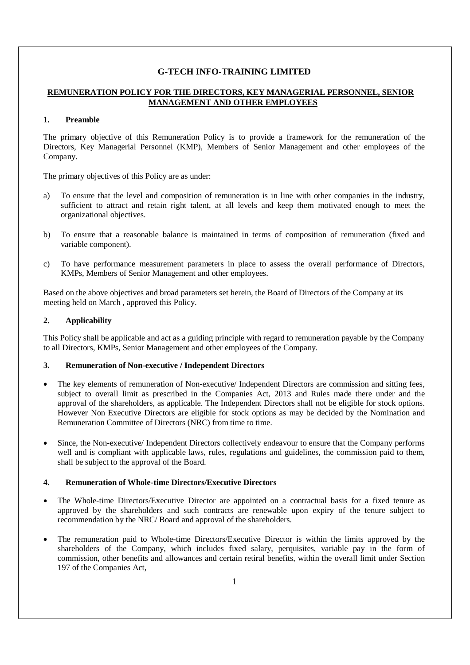# **G-TECH INFO-TRAINING LIMITED**

# **REMUNERATION POLICY FOR THE DIRECTORS, KEY MANAGERIAL PERSONNEL, SENIOR MANAGEMENT AND OTHER EMPLOYEES**

### **1. Preamble**

The primary objective of this Remuneration Policy is to provide a framework for the remuneration of the Directors, Key Managerial Personnel (KMP), Members of Senior Management and other employees of the Company.

The primary objectives of this Policy are as under:

- a) To ensure that the level and composition of remuneration is in line with other companies in the industry, sufficient to attract and retain right talent, at all levels and keep them motivated enough to meet the organizational objectives.
- b) To ensure that a reasonable balance is maintained in terms of composition of remuneration (fixed and variable component).
- c) To have performance measurement parameters in place to assess the overall performance of Directors, KMPs, Members of Senior Management and other employees.

Based on the above objectives and broad parameters set herein, the Board of Directors of the Company at its meeting held on March , approved this Policy.

### **2. Applicability**

This Policy shall be applicable and act as a guiding principle with regard to remuneration payable by the Company to all Directors, KMPs, Senior Management and other employees of the Company.

#### **3. Remuneration of Non-executive / Independent Directors**

- The key elements of remuneration of Non-executive/ Independent Directors are commission and sitting fees, subject to overall limit as prescribed in the Companies Act, 2013 and Rules made there under and the approval of the shareholders, as applicable. The Independent Directors shall not be eligible for stock options. However Non Executive Directors are eligible for stock options as may be decided by the Nomination and Remuneration Committee of Directors (NRC) from time to time.
- Since, the Non-executive/ Independent Directors collectively endeavour to ensure that the Company performs well and is compliant with applicable laws, rules, regulations and guidelines, the commission paid to them, shall be subject to the approval of the Board.

## **4. Remuneration of Whole-time Directors/Executive Directors**

- The Whole-time Directors/Executive Director are appointed on a contractual basis for a fixed tenure as approved by the shareholders and such contracts are renewable upon expiry of the tenure subject to recommendation by the NRC/ Board and approval of the shareholders.
- The remuneration paid to Whole-time Directors/Executive Director is within the limits approved by the shareholders of the Company, which includes fixed salary, perquisites, variable pay in the form of commission, other benefits and allowances and certain retiral benefits, within the overall limit under Section 197 of the Companies Act,